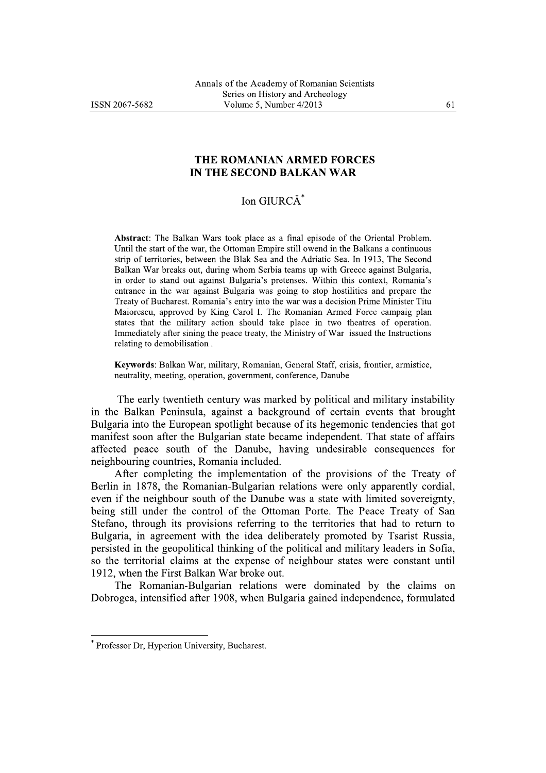## THE ROMANIAN ARMED FORCES IN THE SECOND BALKAN WAR

## Ion GIURCĂ\*

Abstract: The Balkan Wars took place as a final episode of the Oriental Problem. Until the start of the war, the Ottoman Empire still owend in the Balkans a continuous strip of territories, between the Blak Sea and the Adriatic Sea. In 1913, The Second Balkan War breaks out, during whom Serbia teams up with Greece against Bulgaria, in order to stand out against Bulgaria's pretenses. Within this context, Romania's entrance in the war against Bulgaria was going to stop hostilities and prepare the Treaty of Bucharest. Romania's entry into the war was a decision Prime Minister Titu Maiorescu, approved by King Carol I. The Romanian Armed Force campaig plan states that the military action should take place in two theatres of operation. Immediately after sining the peace treaty, the Ministry of War issued the Instructions relating to demobilisation.

Keywords: Balkan War, military, Romanian, General Staff, crisis, frontier, armistice, neutrality, meeting, operation, government, conference, Danube

The early twentieth century was marked by political and military instability in the Balkan Peninsula, against a background of certain events that brought Bulgaria into the European spotlight because of its hegemonic tendencies that got manifest soon after the Bulgarian state became independent. That state of affairs affected peace south of the Danube, having undesirable consequences for neighbouring countries, Romania included.

After completing the implementation of the provisions of the Treaty of Berlin in 1878, the Romanian-Bulgarian relations were only apparently cordial, even if the neighbour south of the Danube was a state with limited sovereignty, being still under the control of the Ottoman Porte. The Peace Treaty of San Stefano, through its provisions referring to the territories that had to return to Bulgaria, in agreement with the idea deliberately promoted by Tsarist Russia, persisted in the geopolitical thinking of the political and military leaders in Sofia. so the territorial claims at the expense of neighbour states were constant until 1912, when the First Balkan War broke out.

The Romanian-Bulgarian relations were dominated by the claims on Dobrogea, intensified after 1908, when Bulgaria gained independence, formulated

Professor Dr, Hyperion University, Bucharest.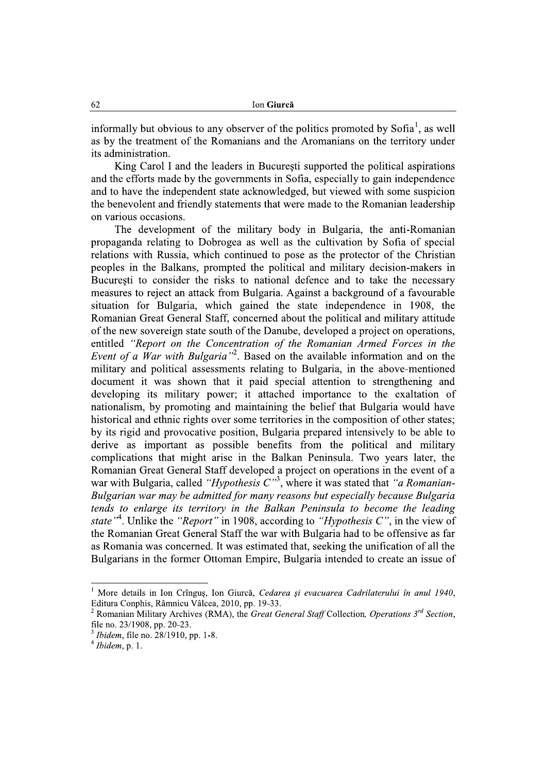informally but obvious to any observer of the politics promoted by Sofia<sup>1</sup>, as well as by the treatment of the Romanians and the Aromanians on the territory under its administration.

King Carol I and the leaders in Bucuresti supported the political aspirations and the efforts made by the governments in Sofia, especially to gain independence and to have the independent state acknowledged, but viewed with some suspicion the benevolent and friendly statements that were made to the Romanian leadership on various occasions.

The development of the military body in Bulgaria, the anti-Romanian propaganda relating to Dobrogea as well as the cultivation by Sofia of special relations with Russia, which continued to pose as the protector of the Christian peoples in the Balkans, prompted the political and military decision-makers in București to consider the risks to national defence and to take the necessary measures to reject an attack from Bulgaria. Against a background of a favourable situation for Bulgaria, which gained the state independence in 1908, the Romanian Great General Staff, concerned about the political and military attitude of the new sovereign state south of the Danube, developed a project on operations, entitled "Report on the Concentration of the Romanian Armed Forces in the *Event of a War with Bulgaria*<sup>22</sup>. Based on the available information and on the military and political assessments relating to Bulgaria, in the above-mentioned document it was shown that it paid special attention to strengthening and developing its military power; it attached importance to the exaltation of nationalism, by promoting and maintaining the belief that Bulgaria would have historical and ethnic rights over some territories in the composition of other states: by its rigid and provocative position, Bulgaria prepared intensively to be able to derive as important as possible benefits from the political and military complications that might arise in the Balkan Peninsula. Two years later, the Romanian Great General Staff developed a project on operations in the event of a war with Bulgaria, called "Hypothesis  $C^{3}$ , where it was stated that "a Romanian-Bulgarian war may be admitted for many reasons but especially because Bulgaria tends to enlarge its territory in the Balkan Peninsula to become the leading state"<sup>4</sup>. Unlike the "Report" in 1908, according to "Hypothesis C", in the view of the Romanian Great General Staff the war with Bulgaria had to be offensive as far as Romania was concerned. It was estimated that, seeking the unification of all the Bulgarians in the former Ottoman Empire, Bulgaria intended to create an issue of

<sup>&</sup>lt;sup>1</sup> More details in Ion Crîngus, Ion Giurcă, Cedarea și evacuarea Cadrilaterului în anul 1940, Editura Conphis, Râmnicu Vâlcea, 2010, pp. 19-33.

Romanian Military Archives (RMA), the Great General Staff Collection, Operations 3<sup>rd</sup> Section, file no. 23/1908, pp. 20-23.

*Ibidem*, file no. 28/1910, pp. 1-8.

 $<sup>4</sup> I bidem$ , p. 1.</sup>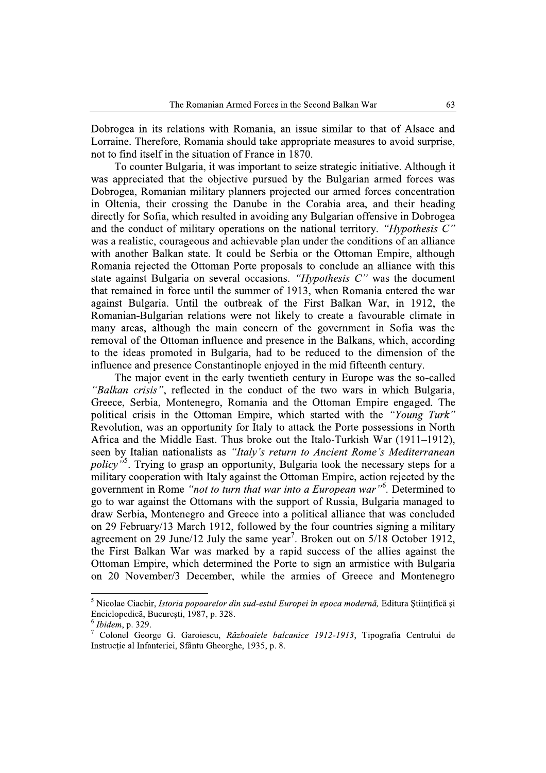Dobrogea in its relations with Romania, an issue similar to that of Alsace and Lorraine. Therefore, Romania should take appropriate measures to avoid surprise, not to find itself in the situation of France in 1870.

To counter Bulgaria, it was important to seize strategic initiative. Although it was appreciated that the objective pursued by the Bulgarian armed forces was Dobrogea, Romanian military planners projected our armed forces concentration in Oltenia, their crossing the Danube in the Corabia area, and their heading directly for Sofia, which resulted in avoiding any Bulgarian offensive in Dobrogea and the conduct of military operations on the national territory. "*Hypothesis C*" was a realistic, courageous and achievable plan under the conditions of an alliance with another Balkan state. It could be Serbia or the Ottoman Empire, although Romania rejected the Ottoman Porte proposals to conclude an alliance with this state against Bulgaria on several occasions. "Hypothesis  $C$ " was the document that remained in force until the summer of 1913, when Romania entered the war against Bulgaria. Until the outbreak of the First Balkan War, in 1912, the Romanian-Bulgarian relations were not likely to create a favourable climate in many areas, although the main concern of the government in Sofia was the removal of the Ottoman influence and presence in the Balkans, which, according to the ideas promoted in Bulgaria, had to be reduced to the dimension of the influence and presence Constantinople enjoyed in the mid fifteenth century.

The major event in the early twentieth century in Europe was the so-called "Balkan crisis", reflected in the conduct of the two wars in which Bulgaria, Greece, Serbia, Montenegro, Romania and the Ottoman Empire engaged. The political crisis in the Ottoman Empire, which started with the "Young Turk" Revolution, was an opportunity for Italy to attack the Porte possessions in North Africa and the Middle East. Thus broke out the Italo-Turkish War (1911–1912), seen by Italian nationalists as "Italy's return to Ancient Rome's Mediterranean *policy*<sup>35</sup>. Trying to grasp an opportunity, Bulgaria took the necessary steps for a military cooperation with Italy against the Ottoman Empire, action rejected by the government in Rome "not to turn that war into a European war"<sup>6</sup>. Determined to go to war against the Ottomans with the support of Russia, Bulgaria managed to draw Serbia, Montenegro and Greece into a political alliance that was concluded on 29 February/13 March 1912, followed by the four countries signing a military agreement on 29 June/12 July the same year<sup>7</sup>. Broken out on  $5/18$  October 1912, the First Balkan War was marked by a rapid success of the allies against the Ottoman Empire, which determined the Porte to sign an armistice with Bulgaria on 20 November/3 December, while the armies of Greece and Montenegro

<sup>&</sup>lt;sup>5</sup> Nicolae Ciachir, *Istoria popoarelor din sud-estul Europei în epoca modernă*, Editura Științifică și Enciclopedică, București, 1987, p. 328.

 $^6$  Ibidem, p. 329.

Colonel George G. Garoiescu, Războaiele balcanice 1912-1913, Tipografia Centrului de Instrucție al Infanteriei, Sfântu Gheorghe, 1935, p. 8.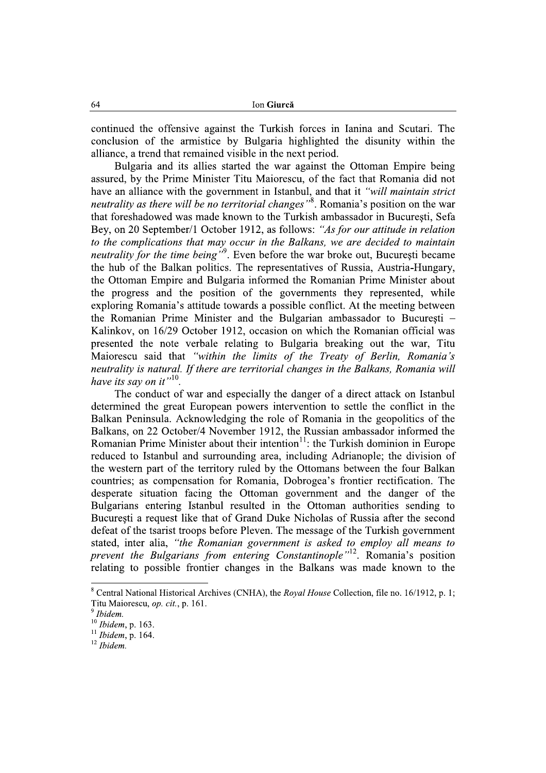continued the offensive against the Turkish forces in Ianina and Scutari. The conclusion of the armistice by Bulgaria highlighted the disunity within the alliance, a trend that remained visible in the next period.

Bulgaria and its allies started the war against the Ottoman Empire being assured, by the Prime Minister Titu Maiorescu, of the fact that Romania did not have an alliance with the government in Istanbul, and that it "will maintain strict neutrality as there will be no territorial changes"<sup>8</sup>. Romania's position on the war that foreshadowed was made known to the Turkish ambassador in Bucuresti. Sefa Bey, on 20 September/1 October 1912, as follows: "As for our attitude in relation to the complications that may occur in the Balkans, we are decided to maintain neutrality for the time being"<sup>9</sup>. Even before the war broke out, București became the hub of the Balkan politics. The representatives of Russia, Austria-Hungary, the Ottoman Empire and Bulgaria informed the Romanian Prime Minister about the progress and the position of the governments they represented, while exploring Romania's attitude towards a possible conflict. At the meeting between the Romanian Prime Minister and the Bulgarian ambassador to Bucuresti – Kalinkov, on 16/29 October 1912, occasion on which the Romanian official was presented the note verbale relating to Bulgaria breaking out the war, Titu Maiorescu said that "within the limits of the Treaty of Berlin, Romania's neutrality is natural. If there are territorial changes in the Balkans, Romania will have its say on it".<sup>10</sup>

The conduct of war and especially the danger of a direct attack on Istanbul determined the great European powers intervention to settle the conflict in the Balkan Peninsula. Acknowledging the role of Romania in the geopolitics of the Balkans, on 22 October/4 November 1912, the Russian ambassador informed the Romanian Prime Minister about their intention<sup>11</sup>: the Turkish dominion in Europe reduced to Istanbul and surrounding area, including Adrianople; the division of the western part of the territory ruled by the Ottomans between the four Balkan countries; as compensation for Romania, Dobrogea's frontier rectification. The desperate situation facing the Ottoman government and the danger of the Bulgarians entering Istanbul resulted in the Ottoman authorities sending to Bucuresti a request like that of Grand Duke Nicholas of Russia after the second defeat of the tsarist troops before Pleven. The message of the Turkish government stated, inter alia, "the Romanian government is asked to employ all means to prevent the Bulgarians from entering Constantinople"<sup>12</sup>. Romania's position relating to possible frontier changes in the Balkans was made known to the

<sup>&</sup>lt;sup>8</sup> Central National Historical Archives (CNHA), the *Royal House* Collection, file no. 16/1912, p. 1; Titu Maiorescu, op. cit., p. 161.

Ihidem.

 $10$  Ibidem, p. 163.

 $11$  Ibidem, p. 164.

 $12$  Ibidem.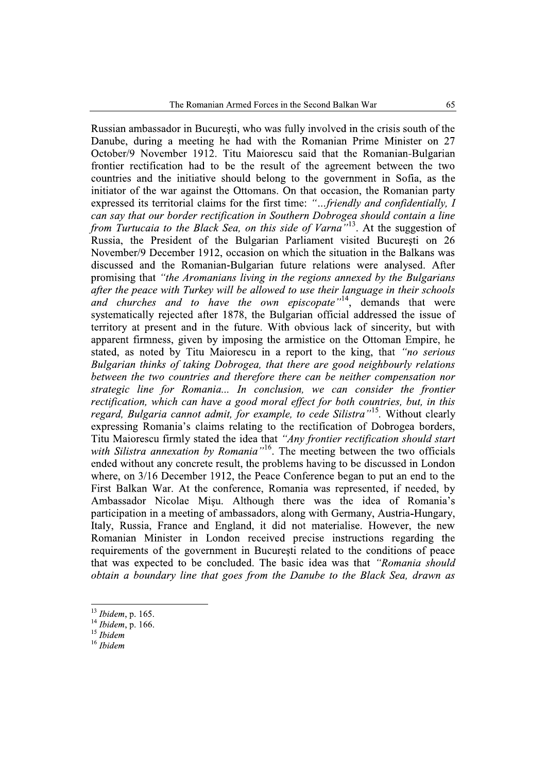Russian ambassador in Bucuresti, who was fully involved in the crisis south of the Danube, during a meeting he had with the Romanian Prime Minister on 27 October/9 November 1912. Titu Maiorescu said that the Romanian-Bulgarian frontier rectification had to be the result of the agreement between the two countries and the initiative should belong to the government in Sofia, as the initiator of the war against the Ottomans. On that occasion, the Romanian party expressed its territorial claims for the first time: "...friendly and confidentially, I can say that our border rectification in Southern Dobrogea should contain a line from Turtucaia to the Black Sea, on this side of Varna<sup>3,13</sup>. At the suggestion of Russia, the President of the Bulgarian Parliament visited Bucuresti on 26 November/9 December 1912, occasion on which the situation in the Balkans was discussed and the Romanian-Bulgarian future relations were analysed. After promising that "the Aromanians living in the regions annexed by the Bulgarians after the peace with Turkey will be allowed to use their language in their schools and churches and to have the own episcopate<sup>714</sup>, demands that were<br>systematically rejected after 1878, the Bulgarian official addressed the issue of territory at present and in the future. With obvious lack of sincerity, but with apparent firmness, given by imposing the armistice on the Ottoman Empire, he stated, as noted by Titu Maiorescu in a report to the king, that "no serious Bulgarian thinks of taking Dobrogea, that there are good neighbourly relations between the two countries and therefore there can be neither compensation nor strategic line for Romania... In conclusion, we can consider the frontier rectification, which can have a good moral effect for both countries, but, in this regard, Bulgaria cannot admit, for example, to cede Silistra"<sup>15</sup>. Without clearly expressing Romania's claims relating to the rectification of Dobrogea borders, Titu Maiorescu firmly stated the idea that "Any frontier rectification should start with Silistra annexation by Romania<sup>nto</sup>. The meeting between the two officials ended without any concrete result, the problems having to be discussed in London where, on 3/16 December 1912, the Peace Conference began to put an end to the First Balkan War. At the conference, Romania was represented, if needed, by Ambassador Nicolae Misu. Although there was the idea of Romania's participation in a meeting of ambassadors, along with Germany, Austria-Hungary, Italy, Russia, France and England, it did not materialise. However, the new Romanian Minister in London received precise instructions regarding the requirements of the government in Bucuresti related to the conditions of peace that was expected to be concluded. The basic idea was that "Romania should obtain a boundary line that goes from the Danube to the Black Sea, drawn as

 $13$  Ibidem, p. 165.

 $14$  Ibidem, p. 166.

 $15$  Ibidem

 $16$  Ibidem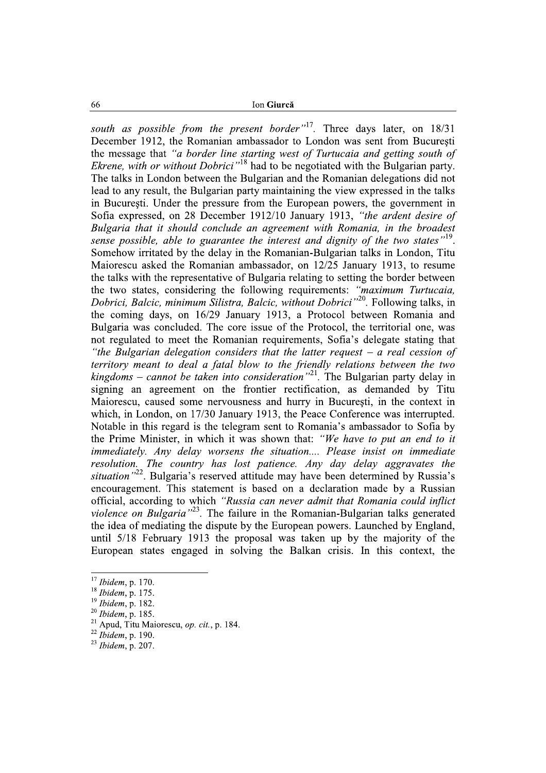Ion Giurcă

south as possible from the present border"<sup>17</sup>. Three days later, on 18/31 December 1912, the Romanian ambassador to London was sent from Bucuresti the message that "a border line starting west of Turtucaia and getting south of *Ekrene, with or without Dobrici*<sup>18</sup> had to be negotiated with the Bulgarian party. The talks in London between the Bulgarian and the Romanian delegations did not lead to any result, the Bulgarian party maintaining the view expressed in the talks in Bucuresti. Under the pressure from the European powers, the government in Sofia expressed, on 28 December 1912/10 January 1913, "the ardent desire of Bulgaria that it should conclude an agreement with Romania, in the broadest sense possible, able to guarantee the interest and dignity of the two states<sup>"19</sup>. Somehow irritated by the delay in the Romanian-Bulgarian talks in London, Titu Maiorescu asked the Romanian ambassador, on 12/25 January 1913, to resume the talks with the representative of Bulgaria relating to setting the border between the two states, considering the following requirements: "maximum Turtucaia, Dobrici, Balcic, minimum Silistra, Balcic, without Dobrici<sup>''20</sup>. Following talks, in the coming days, on 16/29 January 1913, a Protocol between Romania and Bulgaria was concluded. The core issue of the Protocol, the territorial one, was not regulated to meet the Romanian requirements. Sofia's delegate stating that "the Bulgarian delegation considers that the latter request  $-$  a real cession of territory meant to deal a fatal blow to the friendly relations between the two kingdoms – cannot be taken into consideration<sup>"21</sup>. The Bulgarian party delay in signing an agreement on the frontier rectification, as demanded by Titu Maiorescu, caused some nervousness and hurry in Bucuresti, in the context in which, in London, on 17/30 January 1913, the Peace Conference was interrupted. Notable in this regard is the telegram sent to Romania's ambassador to Sofia by the Prime Minister, in which it was shown that: "We have to put an end to it immediately. Any delay worsens the situation.... Please insist on immediate resolution. The country has lost patience. Any day delay aggravates the situation<sup>322</sup>. Bulgaria's reserved attitude may have been determined by Russia's encouragement. This statement is based on a declaration made by a Russian official, according to which "Russia can never admit that Romania could inflict violence on Bulgaria<sup>723</sup>. The failure in the Romanian-Bulgarian talks generated the idea of mediating the dispute by the European powers. Launched by England, until 5/18 February 1913 the proposal was taken up by the majority of the European states engaged in solving the Balkan crisis. In this context, the

66

 $17$  Ibidem, p. 170.

 $18$  Ibidem, p. 175.

 $^{19}$  Ibidem, p. 182.

 $^{20}$  Ibidem, p. 185.

<sup>&</sup>lt;sup>21</sup> Apud, Titu Maiorescu, *op. cit.*, p. 184.

 $^{22}$  Ibidem, p. 190.

 $^{23}$  Ibidem, p. 207.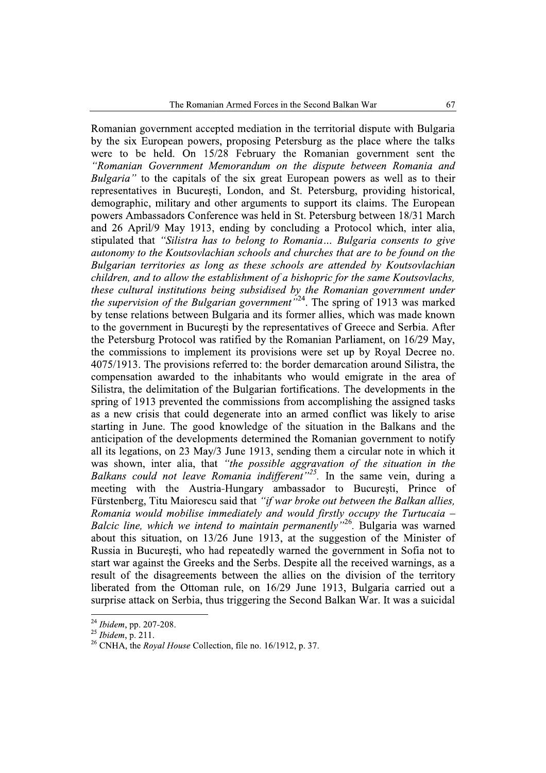Romanian government accepted mediation in the territorial dispute with Bulgaria by the six European powers, proposing Petersburg as the place where the talks were to be held. On 15/28 February the Romanian government sent the "Romanian Government Memorandum on the dispute between Romania and Bulgaria" to the capitals of the six great European powers as well as to their representatives in Bucuresti, London, and St. Petersburg, providing historical, demographic, military and other arguments to support its claims. The European powers Ambassadors Conference was held in St. Petersburg between 18/31 March and 26 April/9 May 1913, ending by concluding a Protocol which, inter alia, stipulated that "Silistra has to belong to Romania... Bulgaria consents to give autonomy to the Koutsovlachian schools and churches that are to be found on the Bulgarian territories as long as these schools are attended by Koutsovlachian children, and to allow the establishment of a bishopric for the same Koutsovlachs. these cultural institutions being subsidised by the Romanian government under the supervision of the Bulgarian government<sup>524</sup>. The spring of 1913 was marked by tense relations between Bulgaria and its former allies, which was made known to the government in Bucuresti by the representatives of Greece and Serbia. After the Petersburg Protocol was ratified by the Romanian Parliament, on 16/29 May, the commissions to implement its provisions were set up by Royal Decree no. 4075/1913. The provisions referred to: the border demarcation around Silistra, the compensation awarded to the inhabitants who would emigrate in the area of Silistra, the delimitation of the Bulgarian fortifications. The developments in the spring of 1913 prevented the commissions from accomplishing the assigned tasks as a new crisis that could degenerate into an armed conflict was likely to arise starting in June. The good knowledge of the situation in the Balkans and the anticipation of the developments determined the Romanian government to notify all its legations, on 23 May/3 June 1913, sending them a circular note in which it was shown, inter alia, that "the possible aggravation of the situation in the Balkans could not leave Romania indifferent"<sup>25</sup>. In the same vein, during a meeting with the Austria-Hungary ambassador to Bucuresti, Prince of Fürstenberg, Titu Maiorescu said that "if war broke out between the Balkan allies, Romania would mobilise immediately and would firstly occupy the Turtucaia  $-$ Balcic line, which we intend to maintain permanently<sup>"26</sup>. Bulgaria was warned about this situation, on  $13/26$  June 1913, at the suggestion of the Minister of Russia in Bucuresti, who had repeatedly warned the government in Sofia not to start war against the Greeks and the Serbs. Despite all the received warnings, as a result of the disagreements between the allies on the division of the territory liberated from the Ottoman rule, on 16/29 June 1913, Bulgaria carried out a surprise attack on Serbia, thus triggering the Second Balkan War. It was a suicidal

 $24$  Ibidem, pp. 207-208.

 $^{25}$  Ibidem, p. 211.

<sup>&</sup>lt;sup>26</sup> CNHA, the *Royal House* Collection, file no. 16/1912, p. 37.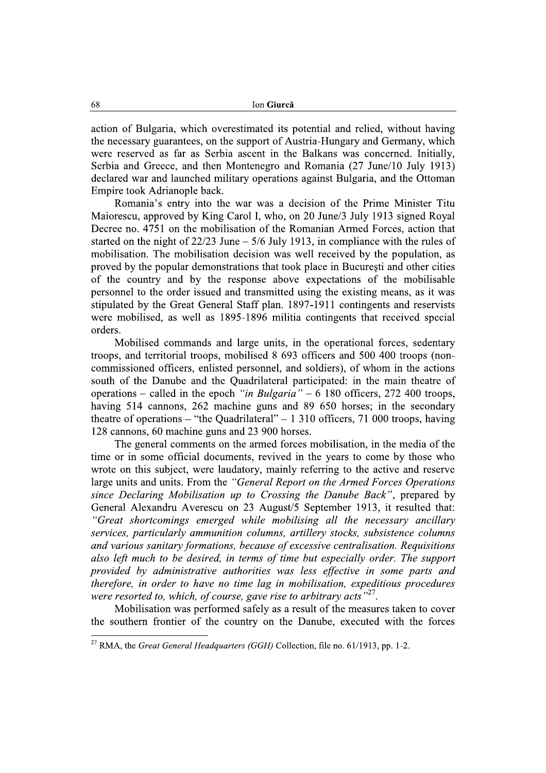action of Bulgaria, which overestimated its potential and relied, without having the necessary guarantees, on the support of Austria-Hungary and Germany, which were reserved as far as Serbia ascent in the Balkans was concerned. Initially, Serbia and Greece, and then Montenegro and Romania (27 June/10 July 1913) declared war and launched military operations against Bulgaria, and the Ottoman Empire took Adrianople back.

Romania's entry into the war was a decision of the Prime Minister Titu Maiorescu, approved by King Carol I, who, on 20 June/3 July 1913 signed Royal Decree no. 4751 on the mobilisation of the Romanian Armed Forces, action that started on the night of  $22/23$  June  $-5/6$  July 1913, in compliance with the rules of mobilisation. The mobilisation decision was well received by the population, as proved by the popular demonstrations that took place in București and other cities of the country and by the response above expectations of the mobilisable personnel to the order issued and transmitted using the existing means, as it was stipulated by the Great General Staff plan. 1897-1911 contingents and reservists were mobilised, as well as 1895-1896 militia contingents that received special orders.

Mobilised commands and large units, in the operational forces, sedentary troops, and territorial troops, mobilised 8 693 officers and 500 400 troops (noncommissioned officers, enlisted personnel, and soldiers), of whom in the actions south of the Danube and the Quadrilateral participated: in the main theatre of operations – called in the epoch "in Bulgaria" – 6 180 officers, 272 400 troops, having 514 cannons, 262 machine guns and 89 650 horses; in the secondary theatre of operations – "the Quadrilateral" – 1 310 officers, 71 000 troops, having 128 cannons, 60 machine guns and 23 900 horses.

The general comments on the armed forces mobilisation, in the media of the time or in some official documents, revived in the years to come by those who wrote on this subject, were laudatory, mainly referring to the active and reserve large units and units. From the "General Report on the Armed Forces Operations" since Declaring Mobilisation up to Crossing the Danube Back", prepared by General Alexandru Averescu on 23 August/5 September 1913, it resulted that: "Great shortcomings emerged while mobilising all the necessary ancillary services, particularly ammunition columns, artillery stocks, subsistence columns and various sanitary formations, because of excessive centralisation. Requisitions also left much to be desired, in terms of time but especially order. The support provided by administrative authorities was less effective in some parts and therefore, in order to have no time lag in mobilisation, expeditious procedures were resorted to, which, of course, gave rise to arbitrary acts<sup>"27</sup>.

Mobilisation was performed safely as a result of the measures taken to cover the southern frontier of the country on the Danube, executed with the forces

68

<sup>&</sup>lt;sup>27</sup> RMA, the *Great General Headquarters (GGH)* Collection, file no. 61/1913, pp. 1-2.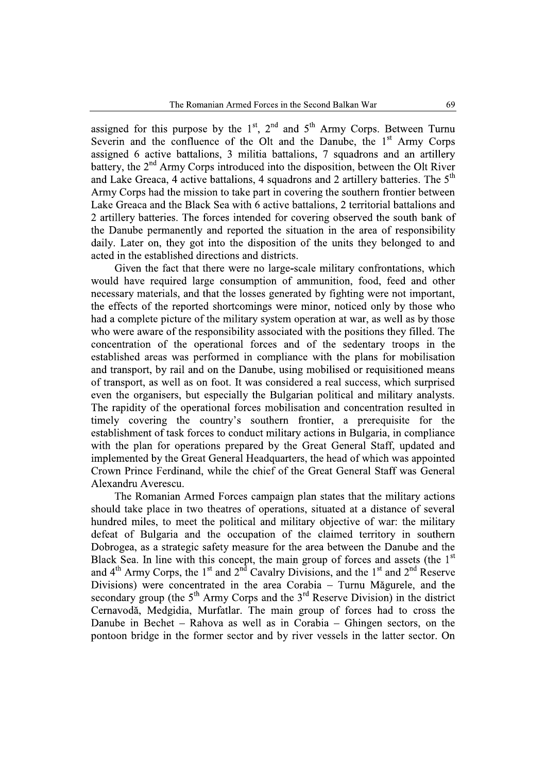assigned for this purpose by the  $1<sup>st</sup>$ ,  $2<sup>nd</sup>$  and  $5<sup>th</sup>$  Army Corps. Between Turnu Severin and the confluence of the Olt and the Danube, the 1<sup>st</sup> Army Corps assigned 6 active battalions, 3 militia battalions, 7 squadrons and an artillery battery, the 2<sup>nd</sup> Army Corps introduced into the disposition, between the Olt River and Lake Greaca, 4 active battalions, 4 squadrons and 2 artillery batteries. The 5<sup>th</sup> Army Corps had the mission to take part in covering the southern frontier between Lake Greaca and the Black Sea with 6 active battalions, 2 territorial battalions and 2 artillery batteries. The forces intended for covering observed the south bank of the Danube permanently and reported the situation in the area of responsibility daily. Later on, they got into the disposition of the units they belonged to and acted in the established directions and districts.

Given the fact that there were no large-scale military confrontations, which would have required large consumption of ammunition, food, feed and other necessary materials, and that the losses generated by fighting were not important, the effects of the reported shortcomings were minor, noticed only by those who had a complete picture of the military system operation at war, as well as by those who were aware of the responsibility associated with the positions they filled. The concentration of the operational forces and of the sedentary troops in the established areas was performed in compliance with the plans for mobilisation and transport, by rail and on the Danube, using mobilised or requisitioned means of transport, as well as on foot. It was considered a real success, which surprised even the organisers, but especially the Bulgarian political and military analysts. The rapidity of the operational forces mobilisation and concentration resulted in timely covering the country's southern frontier, a prerequisite for the establishment of task forces to conduct military actions in Bulgaria, in compliance with the plan for operations prepared by the Great General Staff, updated and implemented by the Great General Headquarters, the head of which was appointed Crown Prince Ferdinand, while the chief of the Great General Staff was General Alexandru Averescu.

The Romanian Armed Forces campaign plan states that the military actions should take place in two theatres of operations, situated at a distance of several hundred miles, to meet the political and military objective of war: the military defeat of Bulgaria and the occupation of the claimed territory in southern Dobrogea, as a strategic safety measure for the area between the Danube and the Black Sea. In line with this concept, the main group of forces and assets (the  $1<sup>st</sup>$ and  $4<sup>th</sup>$  Army Corps, the 1<sup>st</sup> and  $2<sup>nd</sup>$  Cavalry Divisions, and the 1<sup>st</sup> and  $2<sup>nd</sup>$  Reserve Divisions) were concentrated in the area Corabia – Turnu Măgurele, and the secondary group (the  $5<sup>th</sup>$  Army Corps and the  $3<sup>rd</sup>$  Reserve Division) in the district Cernavodă. Medgidia, Murfatlar. The main group of forces had to cross the Danube in Bechet – Rahova as well as in Corabia – Ghingen sectors, on the pontoon bridge in the former sector and by river vessels in the latter sector. On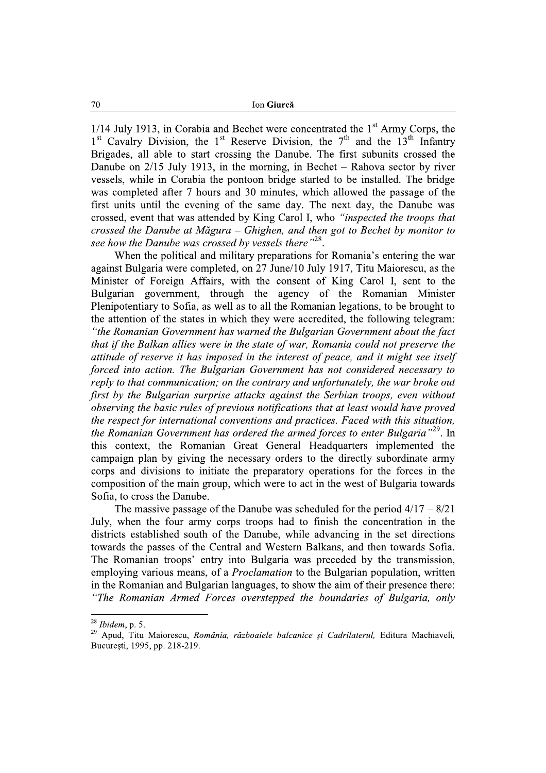$1/14$  July 1913, in Corabia and Bechet were concentrated the 1<sup>st</sup> Army Corps, the  $1<sup>st</sup>$  Cavalry Division, the 1<sup>st</sup> Reserve Division, the 7<sup>th</sup> and the 13<sup>th</sup> Infantry Brigades, all able to start crossing the Danube. The first subunits crossed the Danube on  $2/15$  July 1913, in the morning, in Bechet – Rahova sector by river vessels, while in Corabia the pontoon bridge started to be installed. The bridge was completed after 7 hours and 30 minutes, which allowed the passage of the first units until the evening of the same day. The next day, the Danube was crossed, event that was attended by King Carol I, who "inspected the troops that crossed the Danube at Măgura – Ghighen, and then got to Bechet by monitor to see how the Danube was crossed by vessels there"<sup>28</sup>.

When the political and military preparations for Romania's entering the war against Bulgaria were completed, on 27 June/10 July 1917, Titu Maiorescu, as the Minister of Foreign Affairs, with the consent of King Carol I, sent to the Bulgarian government, through the agency of the Romanian Minister Plenipotentiary to Sofia, as well as to all the Romanian legations, to be brought to the attention of the states in which they were accredited, the following telegram: "the Romanian Government has warned the Bulgarian Government about the fact that if the Balkan allies were in the state of war, Romania could not preserve the attitude of reserve it has imposed in the interest of peace, and it might see itself forced into action. The Bulgarian Government has not considered necessary to reply to that communication; on the contrary and unfortunately, the war broke out first by the Bulgarian surprise attacks against the Serbian troops, even without observing the basic rules of previous notifications that at least would have proved the respect for international conventions and practices. Faced with this situation. the Romanian Government has ordered the armed forces to enter Bulgaria"<sup>29</sup>. In this context, the Romanian Great General Headquarters implemented the campaign plan by giving the necessary orders to the directly subordinate army corps and divisions to initiate the preparatory operations for the forces in the composition of the main group, which were to act in the west of Bulgaria towards Sofia, to cross the Danube.

The massive passage of the Danube was scheduled for the period  $4/17 - 8/21$ July, when the four army corps troops had to finish the concentration in the districts established south of the Danube, while advancing in the set directions towards the passes of the Central and Western Balkans, and then towards Sofia. The Romanian troops' entry into Bulgaria was preceded by the transmission, employing various means, of a *Proclamation* to the Bulgarian population, written in the Romanian and Bulgarian languages, to show the aim of their presence there: "The Romanian Armed Forces overstepped the boundaries of Bulgaria, only

 $28$  Ibidem, p. 5.

<sup>29</sup> Apud, Titu Maiorescu, România, războaiele balcanice și Cadrilaterul, Editura Machiaveli, București, 1995, pp. 218-219.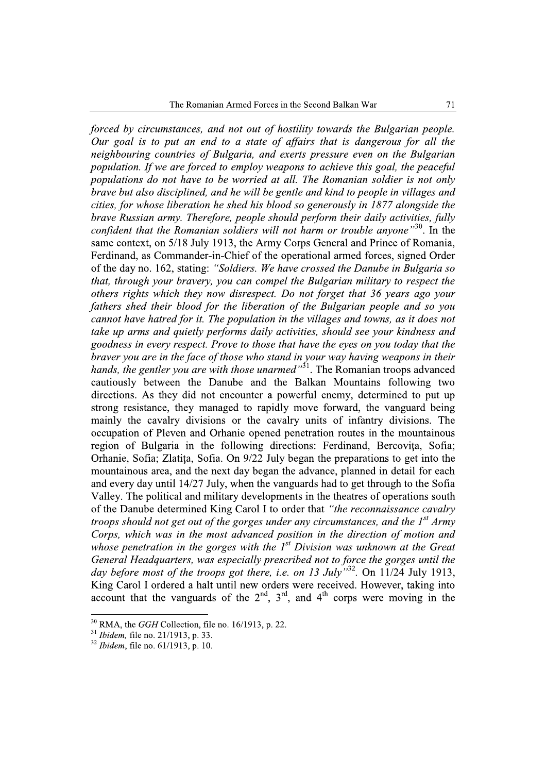forced by circumstances, and not out of hostility towards the Bulgarian people. Our goal is to put an end to a state of affairs that is dangerous for all the neighbouring countries of Bulgaria, and exerts pressure even on the Bulgarian population. If we are forced to employ weapons to achieve this goal, the peaceful populations do not have to be worried at all. The Romanian soldier is not only brave but also disciplined, and he will be gentle and kind to people in villages and cities, for whose liberation he shed his blood so generously in 1877 alongside the brave Russian army. Therefore, people should perform their daily activities, fully confident that the Romanian soldiers will not harm or trouble anyone"<sup>30</sup>. In the same context, on 5/18 July 1913, the Army Corps General and Prince of Romania, Ferdinand, as Commander-in-Chief of the operational armed forces, signed Order of the day no. 162, stating: "Soldiers. We have crossed the Danube in Bulgaria so that, through your bravery, you can compel the Bulgarian military to respect the others rights which they now disrespect. Do not forget that 36 years ago your fathers shed their blood for the liberation of the Bulgarian people and so you cannot have hatred for it. The population in the villages and towns, as it does not take up arms and quietly performs daily activities, should see your kindness and goodness in every respect. Prove to those that have the eyes on you today that the braver you are in the face of those who stand in your way having weapons in their hands, the gentler you are with those unarmed" $3^1$ . The Romanian troops advanced cautiously between the Danube and the Balkan Mountains following two directions. As they did not encounter a powerful enemy, determined to put up strong resistance, they managed to rapidly move forward, the vanguard being mainly the cavalry divisions or the cavalry units of infantry divisions. The occupation of Pleven and Orhanie opened penetration routes in the mountainous region of Bulgaria in the following directions: Ferdinand, Bercovita, Sofia; Orhanie, Sofia: Zlatita. Sofia. On 9/22 July began the preparations to get into the mountainous area, and the next day began the advance, planned in detail for each and every day until 14/27 July, when the vanguards had to get through to the Sofia Valley. The political and military developments in the theatres of operations south of the Danube determined King Carol I to order that "the reconnaissance cavalry troops should not get out of the gorges under any circumstances, and the  $1<sup>st</sup> A r m v$ Corps, which was in the most advanced position in the direction of motion and whose penetration in the gorges with the  $I<sup>st</sup>$  Division was unknown at the Great General Headquarters, was especially prescribed not to force the gorges until the day before most of the troops got there, i.e. on 13 July  $\frac{3}{12}$ . On 11/24 July 1913, King Carol I ordered a halt until new orders were received. However, taking into account that the vanguards of the  $2<sup>nd</sup>$ ,  $3<sup>rd</sup>$ , and  $4<sup>th</sup>$  corps were moving in the

 $30$  RMA, the *GGH* Collection, file no. 16/1913, p. 22.

 $31$  *Ibidem*, file no. 21/1913, p. 33.

 $32$  *Ibidem*, file no. 61/1913, p. 10.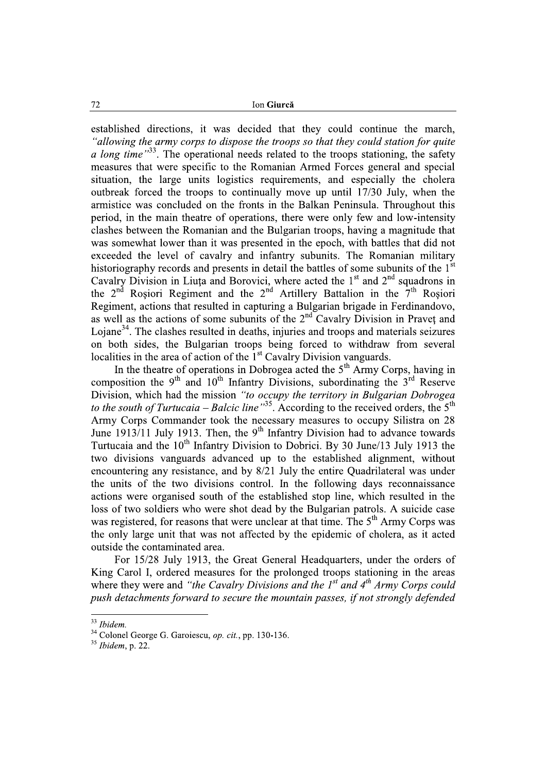Ion Giurcă

established directions, it was decided that they could continue the march, "allowing the army corps to dispose the troops so that they could station for quite a long time"<sup>33</sup>. The operational needs related to the troops stationing, the safety measures that were specific to the Romanian Armed Forces general and special situation, the large units logistics requirements, and especially the cholera outbreak forced the troops to continually move up until 17/30 July, when the armistice was concluded on the fronts in the Balkan Peninsula. Throughout this period, in the main theatre of operations, there were only few and low-intensity clashes between the Romanian and the Bulgarian troops, having a magnitude that was somewhat lower than it was presented in the epoch, with battles that did not exceeded the level of cavalry and infantry subunits. The Romanian military historiography records and presents in detail the battles of some subunits of the 1<sup>st</sup> Cavalry Division in Liuta and Borovici, where acted the 1<sup>st</sup> and 2<sup>nd</sup> squadrons in the 2<sup>nd</sup> Roșiori Regiment and the 2<sup>nd</sup> Artillery Battalion in the 7<sup>th</sup> Roșiori Regiment, actions that resulted in capturing a Bulgarian brigade in Ferdinandovo, as well as the actions of some subunits of the 2<sup>nd</sup> Cavalry Division in Praveț and Lojane<sup>34</sup>. The clashes resulted in deaths, injuries and troops and materials seizures on both sides, the Bulgarian troops being forced to withdraw from several localities in the area of action of the 1<sup>st</sup> Cavalry Division vanguards.

In the theatre of operations in Dobrogea acted the  $5<sup>th</sup>$  Army Corps, having in composition the 9<sup>th</sup> and 10<sup>th</sup> Infantry Divisions, subordinating the  $3^{rd}$  Reserve Division, which had the mission "to occupy the territory in Bulgarian Dobrogea to the south of Turtucaia – Balcic line<sup>35</sup>. According to the received orders, the 5<sup>th</sup> Army Corps Commander took the necessary measures to occupy Silistra on 28 June 1913/11 July 1913. Then, the 9<sup>th</sup> Infantry Division had to advance towards Turtucaia and the 10<sup>th</sup> Infantry Division to Dobrici. By 30 June/13 July 1913 the two divisions vanguards advanced up to the established alignment, without encountering any resistance, and by 8/21 July the entire Ouadrilateral was under the units of the two divisions control. In the following days reconnaissance actions were organised south of the established stop line, which resulted in the loss of two soldiers who were shot dead by the Bulgarian patrols. A suicide case was registered, for reasons that were unclear at that time. The 5<sup>th</sup> Army Corps was the only large unit that was not affected by the epidemic of cholera, as it acted outside the contaminated area.

For 15/28 July 1913, the Great General Headquarters, under the orders of King Carol I, ordered measures for the prolonged troops stationing in the areas where they were and "the Cavalry Divisions and the  $1^{st}$  and  $4^{th}$  Army Corps could push detachments forward to secure the mountain passes, if not strongly defended

72

 $33$  Ibidem.

<sup>&</sup>lt;sup>34</sup> Colonel George G. Garoiescu, op. cit., pp. 130-136.

 $35$  Ibidem, p. 22.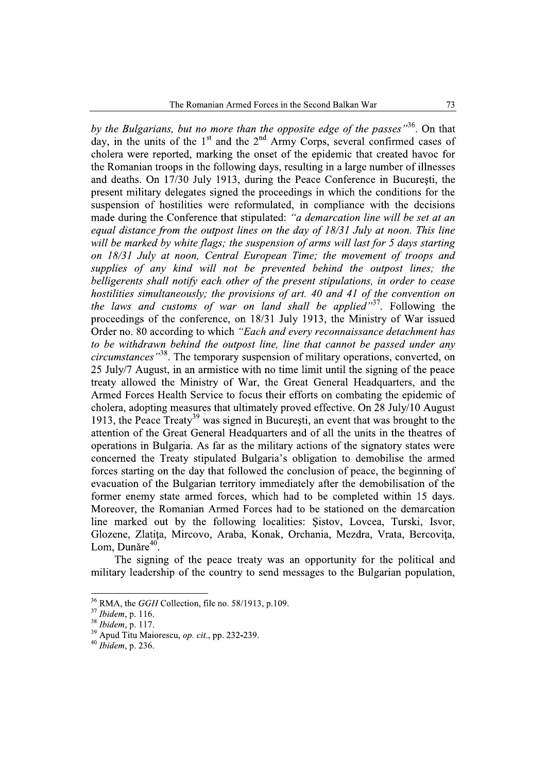by the Bulgarians, but no more than the opposite edge of the passes"<sup>36</sup>. On that day, in the units of the  $1<sup>st</sup>$  and the  $2<sup>nd</sup>$  Army Corps, several confirmed cases of cholera were reported, marking the onset of the epidemic that created havoc for the Romanian troops in the following days, resulting in a large number of illnesses and deaths. On 17/30 July 1913, during the Peace Conference in București, the present military delegates signed the proceedings in which the conditions for the suspension of hostilities were reformulated, in compliance with the decisions made during the Conference that stipulated: "a demarcation line will be set at an equal distance from the outpost lines on the day of 18/31 July at noon. This line will be marked by white flags; the suspension of arms will last for 5 days starting on 18/31 July at noon, Central European Time; the movement of troops and supplies of any kind will not be prevented behind the outpost lines; the belligerents shall notify each other of the present stipulations, in order to cease hostilities simultaneously; the provisions of art. 40 and 41 of the convention on the laws and customs of war on land shall be applied"<sup>37</sup>. Following the proceedings of the conference, on 18/31 July 1913, the Ministry of War issued Order no. 80 according to which "Each and every reconnaissance detachment has to be withdrawn behind the outpost line, line that cannot be passed under any *circumstances*<sup>38</sup>. The temporary suspension of military operations, converted, on 25 July/7 August, in an armistice with no time limit until the signing of the peace treaty allowed the Ministry of War, the Great General Headquarters, and the Armed Forces Health Service to focus their efforts on combating the epidemic of cholera, adopting measures that ultimately proved effective. On 28 July/10 August 1913, the Peace  $Treatv<sup>39</sup>$  was signed in Bucuresti, an event that was brought to the attention of the Great General Headquarters and of all the units in the theatres of operations in Bulgaria. As far as the military actions of the signatory states were concerned the Treaty stipulated Bulgaria's obligation to demobilise the armed forces starting on the day that followed the conclusion of peace, the beginning of evacuation of the Bulgarian territory immediately after the demobilisation of the former enemy state armed forces, which had to be completed within 15 days. Moreover, the Romanian Armed Forces had to be stationed on the demarcation line marked out by the following localities: Sistov, Lovcea, Turski, Isvor, Glozene, Zlatița, Mircovo, Araba, Konak, Orchania, Mezdra, Vrata, Bercovița, Lom. Dunăre $40$ .

The signing of the peace treaty was an opportunity for the political and military leadership of the country to send messages to the Bulgarian population,

 $36$  RMA, the *GGH* Collection, file no. 58/1913, p.109.

 $37$  Ibidem, p. 116.

 $38$  Ibidem, p. 117.

<sup>&</sup>lt;sup>39</sup> Apud Titu Maiorescu, op. cit., pp. 232-239.

 $40$  Ibidem, p. 236.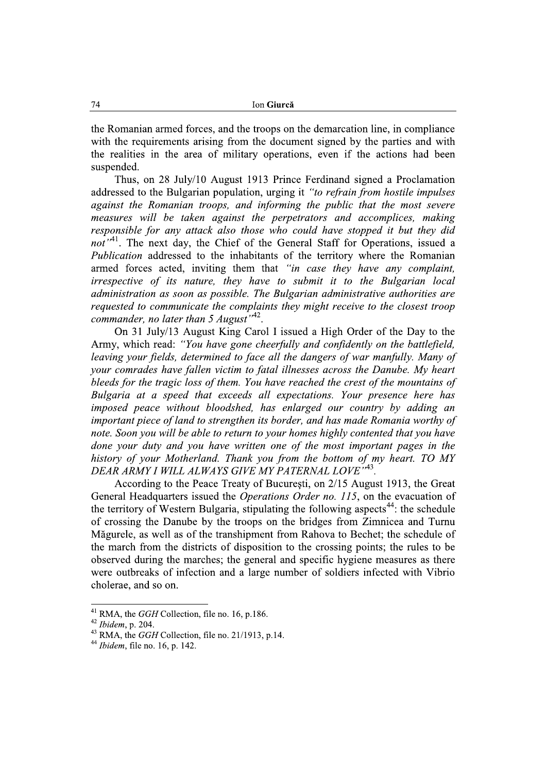the Romanian armed forces, and the troops on the demarcation line, in compliance with the requirements arising from the document signed by the parties and with the realities in the area of military operations, even if the actions had been suspended.

Thus, on 28 July/10 August 1913 Prince Ferdinand signed a Proclamation addressed to the Bulgarian population, urging it "to refrain from hostile impulses" against the Romanian troops, and informing the public that the most severe measures will be taken against the perpetrators and accomplices, making responsible for any attack also those who could have stopped it but they did  $not''$ <sup>41</sup>. The next day, the Chief of the General Staff for Operations, issued a *Publication* addressed to the inhabitants of the territory where the Romanian armed forces acted, inviting them that "in case they have any complaint, irrespective of its nature, they have to submit it to the Bulgarian local administration as soon as possible. The Bulgarian administrative authorities are requested to communicate the complaints they might receive to the closest troop commander, no later than 5 August<sup> $1.42$ </sup>.

On 31 July/13 August King Carol I issued a High Order of the Day to the Army, which read: "You have gone cheerfully and confidently on the battlefield, leaving your fields, determined to face all the dangers of war manfully. Many of your comrades have fallen victim to fatal illnesses across the Danube. My heart bleeds for the tragic loss of them. You have reached the crest of the mountains of Bulgaria at a speed that exceeds all expectations. Your presence here has imposed peace without bloodshed, has enlarged our country by adding an important piece of land to strengthen its border, and has made Romania worthy of note. Soon you will be able to return to your homes highly contented that you have done your duty and you have written one of the most important pages in the history of your Motherland. Thank you from the bottom of my heart. TO MY DEAR ARMY I WILL ALWAYS GIVE MY PATERNAL LOVE"43.

According to the Peace Treaty of București, on 2/15 August 1913, the Great General Headquarters issued the *Operations Order no. 115*, on the evacuation of the territory of Western Bulgaria, stipulating the following aspects<sup>44</sup>; the schedule of crossing the Danube by the troops on the bridges from Zimnicea and Turnu Măgurele, as well as of the transhipment from Rahova to Bechet; the schedule of the march from the districts of disposition to the crossing points; the rules to be observed during the marches; the general and specific hygiene measures as there were outbreaks of infection and a large number of soldiers infected with Vibrio cholerae, and so on.

<sup>&</sup>lt;sup>41</sup> RMA, the *GGH* Collection, file no. 16, p.186.

 $42$  Ibidem, p. 204.

<sup>&</sup>lt;sup>43</sup> RMA, the *GGH* Collection, file no. 21/1913, p.14.

 $44$  *Ibidem*, file no. 16, p. 142.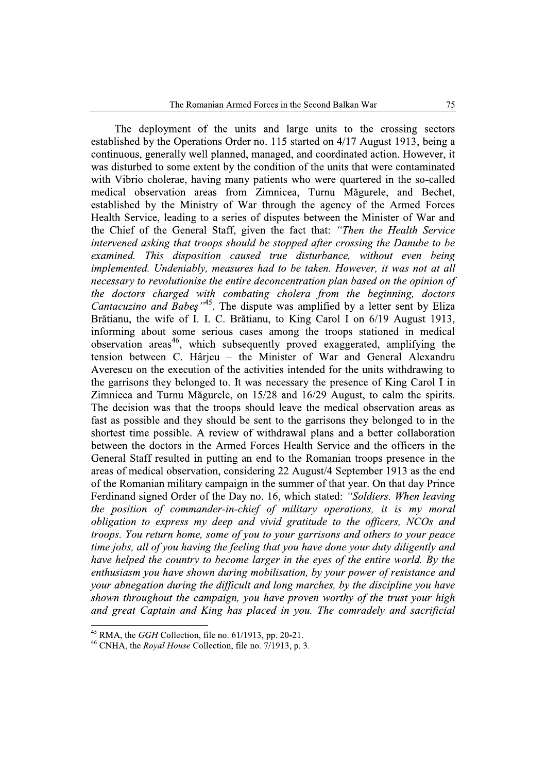The deployment of the units and large units to the crossing sectors established by the Operations Order no. 115 started on 4/17 August 1913, being a continuous, generally well planned, managed, and coordinated action The Romanian Armed Forces in the Second Balks<br>The deployment of the units and large units to<br>established by the Operations Order no. 115 started on 4/1<br>continuous, generally well planned, managed, and coordina<br>was disturbe Second Balkan War<br>
275<br>
2 units to the crossing sectors<br>
ted on 4/17 August 1913, being a<br>
d coordinated action. However, it<br>
if the units that were contaminated<br>
20 were quartered in the so-called<br>
Turnu Măgurele, and Bec The Romanian Armed Forces in the Second Balkan War 75<br>The deployment of the units and large units to the crossing sectors<br>established by the Operations Order no. 115 started on 4/17 August 1913, being a<br>continuous, general sturbed to some extent by the condition of the units orces in the Second Balkan War<br>
and large units to the crossing sectors<br>
o. 115 started on 4/17 August 1913, being a<br>
anaged, and coordinated action. However, it<br>
ondition of the units that were contaminated<br>
tients who we The Romanian Armed Forces in the Second Balkan War 75<br>The deployment of the units and large units to the crossing sectors<br>established by the Operations Order no. 115 started on 4/17 August 1913, being a<br>continuous, general th Vibrio cholerae, having many patients who were quartered in the so-called e Romanian Armed Forces in the Second Balkan War<br>
and The Units and Targe units to the crossing<br>
perations Order no. 115 started on 4/17 August 1913, by well planned, managed, and coordinated action. How<br>
are extent by the medical observation areas from Zimnicea, Turnu Magurele, and Bechet, established by the Ministry of War through the agency of the Armed Forces Health Service, leading to a series of disputes between the Minister of War and The units and large units to the crossing s<br>ons Order no. 115 started on 4/17 August 1913, b<br>planned, managed, and coordinated action. Howe<br>ent by the condition of the units that were contam<br>ing many patients who were quar the Chief of the General Staff, given the fact that: "Then the Health Service"  $\hat{U}$  intervened asking that troops should be stopped after crossing the Danube to be  $\alpha$  examined. This disposition caused true disturbance, without even being  $implemented.$  Undeniably, measures had to be taken. However, it was not at all necessary to revolutionise the entire deconcentration plan based on the opinion of  $the$  doctors charged with combating cholera from the beginning, doctors *Cantacuzino and Babes*<sup> $,45$ </sup>. The dispute was amplified by a letter sent by Eliza ne Ministry of War through the agency of the<br>eading to a series of disputes between the Minis<br>
Ceneral Staff, given the fact that: "*Then the*<br> *g that troops should be stopped after crossing the<br>
disposition caused true* Brătianu, the wife of I. I. C. Brătianu, to King Carol I on 6/19 August 1913, informing about some serious cases among the troops stationed in medical observation areas which subsequently proved exaggerated, amplifying the intervened asking that troops should be stoppe<br>examined. This disposition caused true a<br>implemented. Undeniably, measures had to be<br>necessary to revolutionise the entire deconcent<br>the doctors charged with combating chole<br> tension between C. Harjeu – the Minister of War and General Alexandru examined. This disposition caused tru<br>
implemented. Undeniably, measures had a<br>
necessary to revolutionise the entire decom<br>
the doctors charged with combating c<br>
Cantacuzino and Babes<sup>145</sup>. The dispute \<br>
Brătianu, the w Averescu on the execution of the activities intended for the units withdrawing to to be taken. However, it was not at all<br>ncentration plan based on the opinion of<br>cholera from the beginning, doctors<br>was amplified by a letter sent by Eliza<br>to King Carol I on 6/19 August 1913,<br>nong the troops stationed in *uken. However, it was not at all*<br> *ion plan based on the opinion of*<br> *from the beginning, doctors*<br>
plified by a letter sent by Eliza<br>
Carol I on 6/19 August 1913,<br>
a croops stationed in medical<br>
de exaggerated, amplify the garrisons they belonged to. It was necessary the presence of King Carol I in y to revolutionise the entire deconcentration plan based on the<br>tors charged with combating cholera from the beginnin<br>zino and Babes<sup>,  $.45$ </sup>. The dispute was amplified by a letter se<br>, the wife of I. I. C. Brătianu, to K  $Z$ imnicea and Turnu Magurele, on  $15/28$  and  $16/29$  August, to calm the spirits. The decision was that the troops should leave the medical observation areas as *Cantacuzino and Babes*<sup>,  $A$ 3</sup>. The dispute was amplified by Brătianu, the wife of I. I. C. Brătianu, to King Carol I informing about some serious cases among the troops observation areas<sup>46</sup>, which subsequently proved e fast as possible and they should be sent to the garrisons they belonged to in the shortest time possible. A review ing about some serious cases among the troops station areas<sup>46</sup>, which subsequently proved exaggerat<br>
1 between C. Hârjeu – the Minister of War and<br>
ccu on the execution of the activities intended for the u<br>
risons they b or serious cases among the troops stationed in medica, which subsequently proved exaggerated, amplifying the . Hârjeu – the Minister of War and General Alexandre<br>
action of the activities intended for the units withdrawing observation areas<sup>46</sup>, which subsequently proved exaggerated, amplifying the tension between C. Hârjeu – the Minister of War and General Alexandru Averescu on the execution of the activities intended for the units withdra in the Armed Forces Health Service and the officers in the General Staff resulted in putting an end to the Romanian troops presence in the areas of medical observation, considering  $22$  August/4 September 1913 as the end of the Romanian military campaign in the summer of that year. On that day Prince Ferdinand signed Order of the Day no. 16, which stated: "Soldiers. When leaving d Turnu Măgurele, on 15/28 and 16/29 August, to cal<br>
1 was that the troops should leave the medical observa-<br>
ble and they should be sent to the garrisons they belor<br>
ble and they should be sent to the garrisons they belor the position of commander-in-chief of military operations, it is my moral obligation to express my deep and vivid gratitude to the officers, NCOs and  $t$ roops. You return home, some of you to your garrisons and others to your peace time jobs, all of you having the feeling that you have done your duty diligently and have helped the country to become larger in the eves of the entire world. By the  $\chi$  enthusiasm you have shown during mobilisation, by your power of resistance and your abnegation during the difficult and long marches, by the discipline you have shown throughout the campaign, you have proven worthy of the trust your high and great Captain and King has placed in you. The comradely and sacrificial

 $\frac{45}{46}$  RMA, the *GGH* Collection, file

 $\degree$  RMA, the *GGH* Collection, file no. 61/1913, pp. 20-21.<br><sup>46</sup> CNHA, the *Royal House* Collection, file no. 7/1913, p. 3.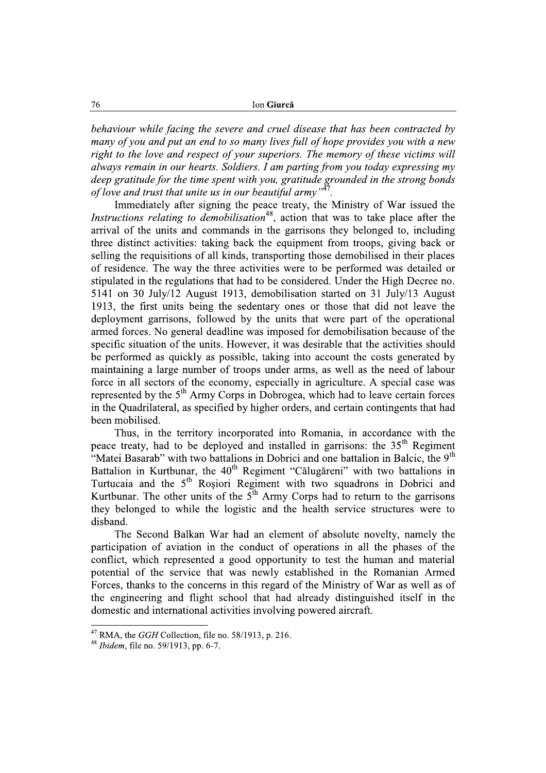behaviour while facing the severe and cruel disease that has been contracted by many of you and put an end to so many lives full of hope provides you with a new right to the love and respect of your superiors. The memory of these victims will always remain in our hearts. Soldiers, I am parting from you today expressing my deep gratitude for the time spent with you, gratitude grounded in the strong bonds of love and trust that unite us in our beautiful army  $v^{47}$ .

Immediately after signing the peace treaty, the Ministry of War issued the *Instructions relating to demobilisation*<sup>48</sup>, action that was to take place after the arrival of the units and commands in the garrisons they belonged to, including three distinct activities: taking back the equipment from troops, giving back or selling the requisitions of all kinds, transporting those demobilised in their places of residence. The way the three activities were to be performed was detailed or stipulated in the regulations that had to be considered. Under the High Decree no. 5141 on 30 July/12 August 1913, demobilisation started on 31 July/13 August 1913, the first units being the sedentary ones or those that did not leave the deployment garrisons, followed by the units that were part of the operational armed forces. No general deadline was imposed for demobilisation because of the specific situation of the units. However, it was desirable that the activities should be performed as quickly as possible, taking into account the costs generated by maintaining a large number of troops under arms, as well as the need of labour force in all sectors of the economy, especially in agriculture. A special case was represented by the 5<sup>th</sup> Army Corps in Dobrogea, which had to leave certain forces in the Quadrilateral, as specified by higher orders, and certain contingents that had been mobilised.

Thus, in the territory incorporated into Romania, in accordance with the peace treaty, had to be deployed and installed in garrisons: the 35<sup>th</sup> Regiment "Matei Basarab" with two battalions in Dobrici and one battalion in Balcic, the 9<sup>th</sup> Battalion in Kurtbunar, the 40<sup>th</sup> Regiment "Călugăreni" with two battalions in Turtucaia and the 5<sup>th</sup> Rosiori Regiment with two squadrons in Dobrici and Kurtbunar. The other units of the  $5<sup>th</sup>$  Army Corps had to return to the garrisons they belonged to while the logistic and the health service structures were to disband.

The Second Balkan War had an element of absolute novelty, namely the participation of aviation in the conduct of operations in all the phases of the conflict, which represented a good opportunity to test the human and material potential of the service that was newly established in the Romanian Armed Forces, thanks to the concerns in this regard of the Ministry of War as well as of the engineering and flight school that had already distinguished itself in the domestic and international activities involving powered aircraft.

 $47$  RMA, the GGH Collection, file no. 58/1913, p. 216.

<sup>&</sup>lt;sup>48</sup> *Ibidem*, file no. 59/1913, pp. 6-7.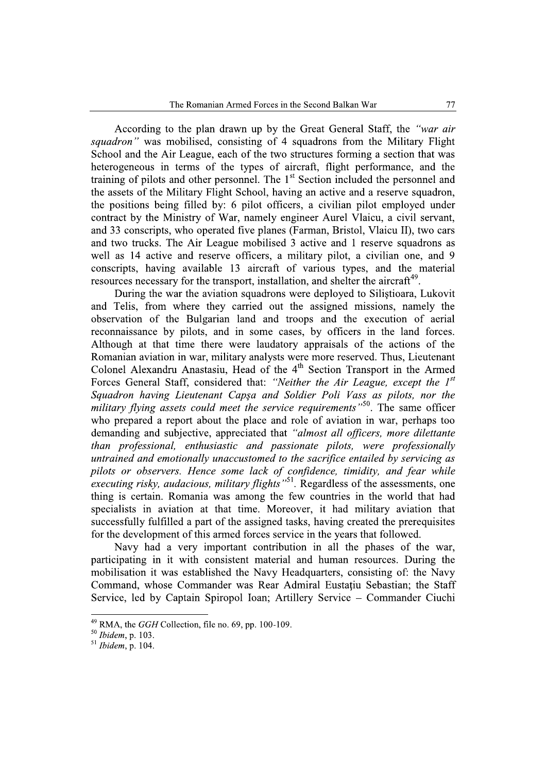According to the plan drawn up by the Great General Staff, the "war air *squadron*" was mobilised, consisting of 4 squadrons from the Military Flight School and the Air League, each of the two structures forming a section that was heterogeneous in terms of the types of aircraft, flight performance, and the training of pilots and other personnel. The 1<sup>st</sup> Section included the personnel and the assets of the Military Flight School, having an active and a reserve squadron, the positions being filled by: 6 pilot officers, a civilian pilot employed under contract by the Ministry of War, namely engineer Aurel Vlaicu, a civil servant, and 33 conscripts, who operated five planes (Farman, Bristol, Vlaicu II), two cars and two trucks. The Air League mobilised 3 active and 1 reserve squadrons as well as 14 active and reserve officers, a military pilot, a civilian one, and 9 conscripts, having available 13 aircraft of various types, and the material resources necessary for the transport, installation, and shelter the aircraft<sup>49</sup>.

During the war the aviation squadrons were deployed to Silistioara, Lukovit and Telis, from where they carried out the assigned missions, namely the observation of the Bulgarian land and troops and the execution of aerial reconnaissance by pilots, and in some cases, by officers in the land forces. Although at that time there were laudatory appraisals of the actions of the Romanian aviation in war, military analysts were more reserved. Thus, Lieutenant Colonel Alexandru Anastasiu, Head of the 4<sup>th</sup> Section Transport in the Armed Forces General Staff, considered that: "Neither the Air League, except the 1st Squadron having Lieutenant Capsa and Soldier Poli Vass as pilots, nor the military flying assets could meet the service requirements<sup>"50</sup>. The same officer who prepared a report about the place and role of aviation in war, perhaps too demanding and subjective, appreciated that "almost all officers, more dilettante than professional, enthusiastic and passionate pilots, were professionally untrained and emotionally unaccustomed to the sacrifice entailed by servicing as pilots or observers. Hence some lack of confidence, timidity, and fear while executing risky, audacious, military flights<sup>551</sup>. Regardless of the assessments, one thing is certain. Romania was among the few countries in the world that had specialists in aviation at that time. Moreover, it had military aviation that successfully fulfilled a part of the assigned tasks, having created the prerequisites for the development of this armed forces service in the years that followed.

Navy had a very important contribution in all the phases of the war, participating in it with consistent material and human resources. During the mobilisation it was established the Navy Headquarters, consisting of: the Navy Command, whose Commander was Rear Admiral Eustatiu Sebastian; the Staff Service, led by Captain Spiropol Ioan; Artillery Service – Commander Ciuchi

 $49$  RMA, the *GGH* Collection, file no. 69, pp. 100-109.

 $50$  Ibidem, p. 103.

 $51$  Ibidem, p. 104.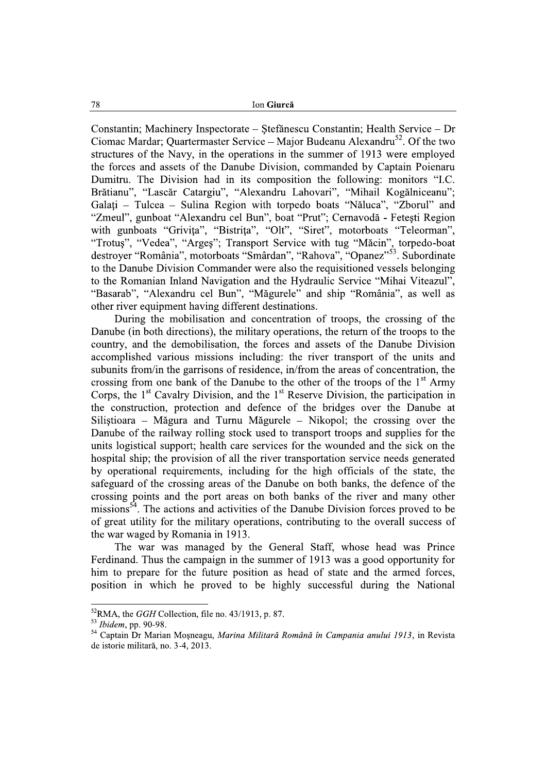Constantin; Machinery Inspectorate – Stefănescu Constantin; Health Service – Dr Ciomac Mardar: Ouartermaster Service – Maior Budeanu Alexandru<sup>52</sup>. Of the two structures of the Navy, in the operations in the summer of 1913 were employed the forces and assets of the Danube Division, commanded by Captain Poienaru Dumitru. The Division had in its composition the following: monitors "I.C. Brătianu", "Lascăr Catargiu", "Alexandru Lahovari", "Mihail Kogălniceanu"; Galați – Tulcea – Sulina Region with torpedo boats "Năluca", "Zborul" and "Zmeul", gunboat "Alexandru cel Bun", boat "Prut"; Cernavodă - Fetești Region with gunboats "Grivița", "Bistrița", "Olt", "Siret", motorboats "Teleorman", "Trotus", "Vedea", "Arges"; Transport Service with tug "Măcin", torpedo-boat destroyer "România", motorboats "Smârdan", "Rahova", "Opanez"<sup>53</sup>. Subordinate to the Danube Division Commander were also the requisitioned vessels belonging to the Romanian Inland Navigation and the Hydraulic Service "Mihai Viteazul", "Basarab", "Alexandru cel Bun", "Măgurele" and ship "România", as well as other river equipment having different destinations.

During the mobilisation and concentration of troops, the crossing of the Danube (in both directions), the military operations, the return of the troops to the country, and the demobilisation, the forces and assets of the Danube Division accomplished various missions including: the river transport of the units and subunits from/in the garrisons of residence, in/from the areas of concentration, the crossing from one bank of the Danube to the other of the troops of the 1<sup>st</sup> Army Corps, the 1<sup>st</sup> Cavalry Division, and the 1<sup>st</sup> Reserve Division, the participation in the construction, protection and defence of the bridges over the Danube at Silistioara – Măgura and Turnu Măgurele – Nikopol; the crossing over the Danube of the railway rolling stock used to transport troops and supplies for the units logistical support; health care services for the wounded and the sick on the hospital ship: the provision of all the river transportation service needs generated by operational requirements, including for the high officials of the state, the safeguard of the crossing areas of the Danube on both banks, the defence of the crossing points and the port areas on both banks of the river and many other missions<sup>54</sup>. The actions and activities of the Danube Division forces proved to be of great utility for the military operations, contributing to the overall success of the war waged by Romania in 1913.

The war was managed by the General Staff, whose head was Prince Ferdinand. Thus the campaign in the summer of 1913 was a good opportunity for him to prepare for the future position as head of state and the armed forces, position in which he proved to be highly successful during the National

 ${}^{52}$ RMA, the *GGH* Collection, file no. 43/1913, p. 87.

<sup>&</sup>lt;sup>53</sup> Ibidem, pp. 90-98.

<sup>54</sup> Captain Dr Marian Moșneagu, Marina Militară Română în Campania anului 1913, in Revista de istorie militară, no. 3-4, 2013.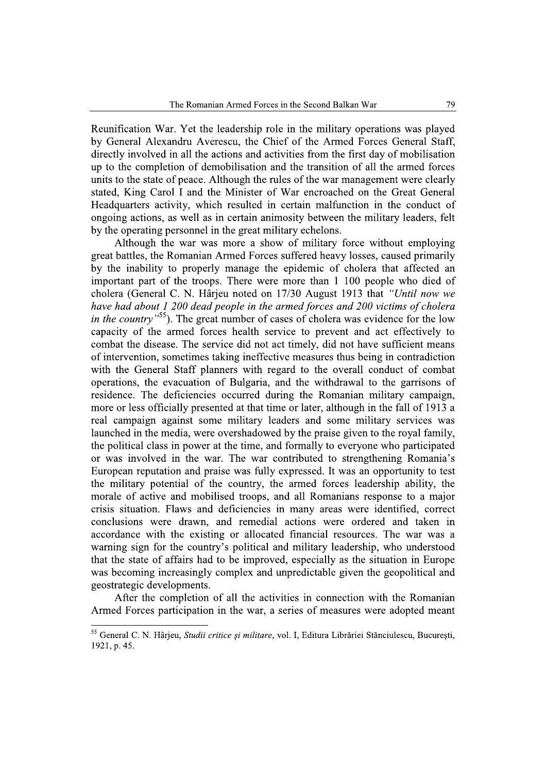Reunification War. Yet the leadership role in the military operations was played by General Alexandru Averescu, the Chief of the Armed Forces General Staff, directly involved in all the actions and activities from the first day of mobilisation up to the completion of demobilisation and the transition of all the armed forces units to the state of peace. Although the rules of the war management were clearly stated, King Carol I and the Minister of War encroached on the Great General Headquarters activity, which resulted in certain malfunction in the conduct of ongoing actions, as well as in certain animosity between the military leaders, felt by the operating personnel in the great military echelons.

Although the war was more a show of military force without employing great battles, the Romanian Armed Forces suffered heavy losses, caused primarily by the inability to properly manage the epidemic of cholera that affected an important part of the troops. There were more than 1 100 people who died of cholera (General C. N. Hârjeu noted on 17/30 August 1913 that "Until now we have had about 1 200 dead people in the armed forces and 200 victims of cholera in the country<sup>"55</sup>). The great number of cases of cholera was evidence for the low capacity of the armed forces health service to prevent and act effectively to combat the disease. The service did not act timely, did not have sufficient means of intervention, sometimes taking ineffective measures thus being in contradiction with the General Staff planners with regard to the overall conduct of combat operations, the evacuation of Bulgaria, and the withdrawal to the garrisons of residence. The deficiencies occurred during the Romanian military campaign, more or less officially presented at that time or later, although in the fall of 1913 a real campaign against some military leaders and some military services was launched in the media, were overshadowed by the praise given to the royal family, the political class in power at the time, and formally to everyone who participated or was involved in the war. The war contributed to strengthening Romania's European reputation and praise was fully expressed. It was an opportunity to test the military potential of the country, the armed forces leadership ability, the morale of active and mobilised troops, and all Romanians response to a major crisis situation. Flaws and deficiencies in many areas were identified, correct conclusions were drawn, and remedial actions were ordered and taken in accordance with the existing or allocated financial resources. The war was a warning sign for the country's political and military leadership, who understood that the state of affairs had to be improved, especially as the situation in Europe was becoming increasingly complex and unpredictable given the geopolitical and geostrategic developments.

After the completion of all the activities in connection with the Romanian Armed Forces participation in the war, a series of measures were adopted meant

<sup>55</sup> General C. N. Hârjeu, Studii critice și militare, vol. I, Editura Librăriei Stănciulescu, București, 1921, p. 45.